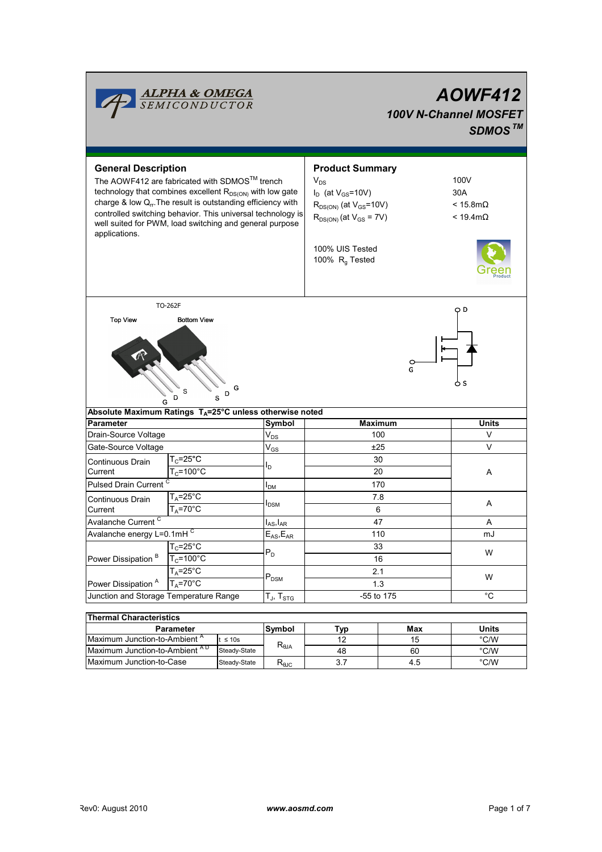

| THUI UIU VIIUTUUU ISUUS                   |              |                                   |     |       |      |  |  |  |  |  |  |
|-------------------------------------------|--------------|-----------------------------------|-----|-------|------|--|--|--|--|--|--|
| <b>Parameter</b>                          | Symbol       | Tvp                               | Max | Units |      |  |  |  |  |  |  |
| Maximum Junction-to-Ambient <sup>A</sup>  | $\leq 10s$   |                                   |     | 15    | °C/W |  |  |  |  |  |  |
| Maximum Junction-to-Ambient <sup>AD</sup> | Steady-State | $\mathsf{R}_{\theta \mathsf{JA}}$ | 48  | 60    | °C/W |  |  |  |  |  |  |
| Maximum Junction-to-Case                  | Steady-State | ᅐ൭ൄ൳                              |     | 4.5   | °C/W |  |  |  |  |  |  |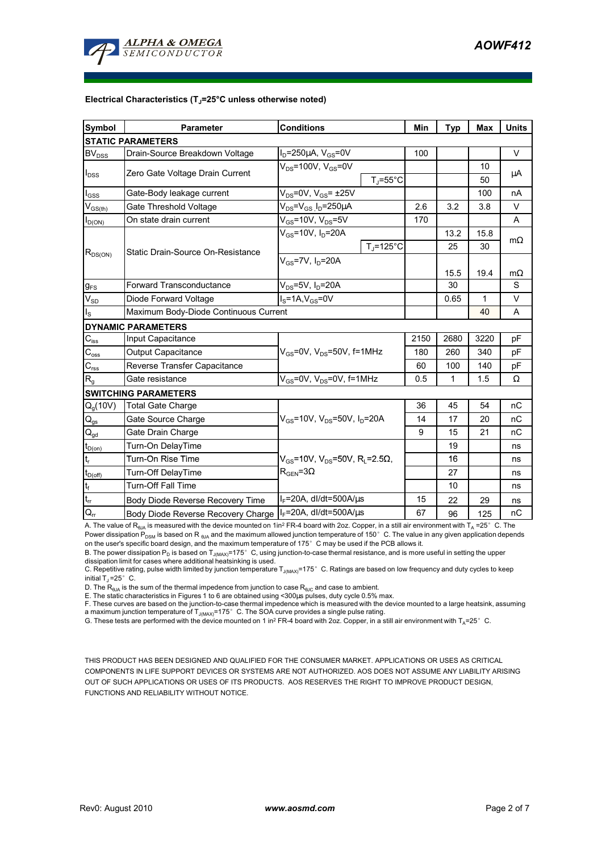

#### Electrical Characteristics (T<sub>i</sub>=25°C unless otherwise noted)

| <b>Symbol</b>                           | <b>Parameter</b>                      | <b>Conditions</b>                                                                 |                    | Min  | <b>Typ</b> | Max  | <b>Units</b> |  |  |  |  |
|-----------------------------------------|---------------------------------------|-----------------------------------------------------------------------------------|--------------------|------|------------|------|--------------|--|--|--|--|
| <b>STATIC PARAMETERS</b>                |                                       |                                                                                   |                    |      |            |      |              |  |  |  |  |
| <b>BV<sub>DSS</sub></b>                 | Drain-Source Breakdown Voltage        | $I_D = 250 \mu A$ , $V_{GS} = 0V$                                                 |                    | 100  |            |      | V            |  |  |  |  |
| $I_{DSS}$                               | Zero Gate Voltage Drain Current       | $V_{DS}$ =100V, $V_{GS}$ =0V                                                      |                    |      |            | 10   | μA           |  |  |  |  |
|                                         |                                       | $T_i = 55^{\circ}$ C                                                              |                    |      |            | 50   |              |  |  |  |  |
| $I_{GSS}$                               | Gate-Body leakage current             | $V_{DS}$ =0V, $V_{GS}$ = ±25V                                                     |                    |      |            | 100  | nA           |  |  |  |  |
| $\mathsf{V}_{\mathsf{GS}(\mathsf{th})}$ | Gate Threshold Voltage                | $V_{DS} = V_{GS}$ $I_D = 250 \mu A$                                               |                    | 2.6  | 3.2        | 3.8  | V            |  |  |  |  |
| $I_{D(ON)}$                             | On state drain current                | $V_{GS}$ =10V, $V_{DS}$ =5V                                                       |                    | 170  |            |      | A            |  |  |  |  |
| $R_{DS(ON)}$                            | Static Drain-Source On-Resistance     | $V_{GS}$ =10V, $I_D$ =20A                                                         |                    |      | 13.2       | 15.8 | $m\Omega$    |  |  |  |  |
|                                         |                                       |                                                                                   | $T_{\rm J}$ =125°C |      | 25         | 30   |              |  |  |  |  |
|                                         |                                       | $V_{GS}$ =7V, $I_{D}$ =20A                                                        |                    |      |            |      |              |  |  |  |  |
|                                         |                                       |                                                                                   |                    |      | 15.5       | 19.4 | $m\Omega$    |  |  |  |  |
| $g_{FS}$                                | <b>Forward Transconductance</b>       | $V_{DS}$ =5V, I <sub>D</sub> =20A                                                 |                    |      | 30         |      | S            |  |  |  |  |
| $V_{SD}$                                | Diode Forward Voltage                 | $IS=1A, VGS=0V$                                                                   |                    |      | 0.65       | 1    | V            |  |  |  |  |
| $I_{\rm S}$                             | Maximum Body-Diode Continuous Current |                                                                                   |                    |      |            | 40   | A            |  |  |  |  |
|                                         | <b>DYNAMIC PARAMETERS</b>             |                                                                                   |                    |      |            |      |              |  |  |  |  |
| $C_{\text{iss}}$                        | Input Capacitance                     | $V_{GS}$ =0V, $V_{DS}$ =50V, f=1MHz                                               |                    | 2150 | 2680       | 3220 | рF           |  |  |  |  |
| $C_{\rm oss}$                           | <b>Output Capacitance</b>             |                                                                                   |                    | 180  | 260        | 340  | pF           |  |  |  |  |
| $C_{\text{rss}}$                        | Reverse Transfer Capacitance          |                                                                                   |                    | 60   | 100        | 140  | pF           |  |  |  |  |
| $R_{q}$                                 | Gate resistance                       | $V_{GS}$ =0V, $V_{DS}$ =0V, f=1MHz                                                |                    | 0.5  | 1          | 1.5  | Ω            |  |  |  |  |
|                                         | <b>SWITCHING PARAMETERS</b>           |                                                                                   |                    |      |            |      |              |  |  |  |  |
| Q <sub>q</sub> (10V)                    | <b>Total Gate Charge</b>              | $V_{\rm{GS}}$ =10V, $V_{\rm{DS}}$ =50V, $I_{\rm{D}}$ =20A                         |                    | 36   | 45         | 54   | nC           |  |  |  |  |
| $\mathsf{Q}_{\text{gs}}$                | Gate Source Charge                    |                                                                                   |                    | 14   | 17         | 20   | пC           |  |  |  |  |
| $\mathsf{Q}_{\text{gd}}$                | Gate Drain Charge                     |                                                                                   |                    | 9    | 15         | 21   | nC           |  |  |  |  |
| $t_{D(on)}$                             | Turn-On DelayTime                     | $V_{GS}$ =10V, $V_{DS}$ =50V, R <sub>L</sub> =2.5Ω,<br>$R_{\text{GFN}} = 3\Omega$ |                    |      | 19         |      | ns           |  |  |  |  |
| $t_r$                                   | Turn-On Rise Time                     |                                                                                   |                    |      | 16         |      | ns           |  |  |  |  |
| $t_{D(off)}$                            | Turn-Off DelayTime                    |                                                                                   |                    |      | 27         |      | ns           |  |  |  |  |
| $t_f$                                   | <b>Turn-Off Fall Time</b>             |                                                                                   |                    |      | 10         |      | ns           |  |  |  |  |
| $\mathfrak{t}_{\mathfrak{m}}$           | Body Diode Reverse Recovery Time      | $I_F$ =20A, dl/dt=500A/ $\mu$ s                                                   |                    | 15   | 22         | 29   | ns           |  |  |  |  |
| $Q_{rr}$                                | Body Diode Reverse Recovery Charge    | $I_F$ =20A, dl/dt=500A/ $\mu$ s                                                   |                    | 67   | 96         | 125  | nC           |  |  |  |  |

A. The value of R<sub>8JA</sub> is measured with the device mounted on 1in<sup>2</sup> FR-4 board with 2oz. Copper, in a still air environment with T<sub>A</sub> =25°C. The Power dissipation P<sub>DSM</sub> is based on R <sub>θJA</sub> and the maximum allowed junction temperature of 150°C. The value in any given application depends on the user's specific board design, and the maximum temperature of 175°C may be used if the PCB allows it.

B. The power dissipation P<sub>D</sub> is based on T<sub>J(MAX)</sub>=175°C, using junction-to-case thermal resistance, and is more useful in setting the upper dissipation limit for cases where additional heatsinking is used.

C. Repetitive rating, pulse width limited by junction temperature T<sub>J(MAX)</sub>=175°C. Ratings are based on low frequency and duty cycles to keep initial  $T_J = 25^\circ$  C.

D. The  $R_{\thetaJA}$  is the sum of the thermal impedence from junction to case  $R_{\thetaJC}$  and case to ambient.

E. The static characteristics in Figures 1 to 6 are obtained using <300µs pulses, duty cycle 0.5% max.

F. These curves are based on the junction-to-case thermal impedence which is measured with the device mounted to a large heatsink, assuming a maximum junction temperature of  $T_{J(MAX)}$ =175° C. The SOA curve provides a single pulse rating.

G. These tests are performed with the device mounted on 1 in<sup>2</sup> FR-4 board with 2oz. Copper, in a still air environment with  $T_A=25^\circ$  C.

THIS PRODUCT HAS BEEN DESIGNED AND QUALIFIED FOR THE CONSUMER MARKET. APPLICATIONS OR USES AS CRITICAL COMPONENTS IN LIFE SUPPORT DEVICES OR SYSTEMS ARE NOT AUTHORIZED. AOS DOES NOT ASSUME ANY LIABILITY ARISING OUT OF SUCH APPLICATIONS OR USES OF ITS PRODUCTS. AOS RESERVES THE RIGHT TO IMPROVE PRODUCT DESIGN, FUNCTIONS AND RELIABILITY WITHOUT NOTICE.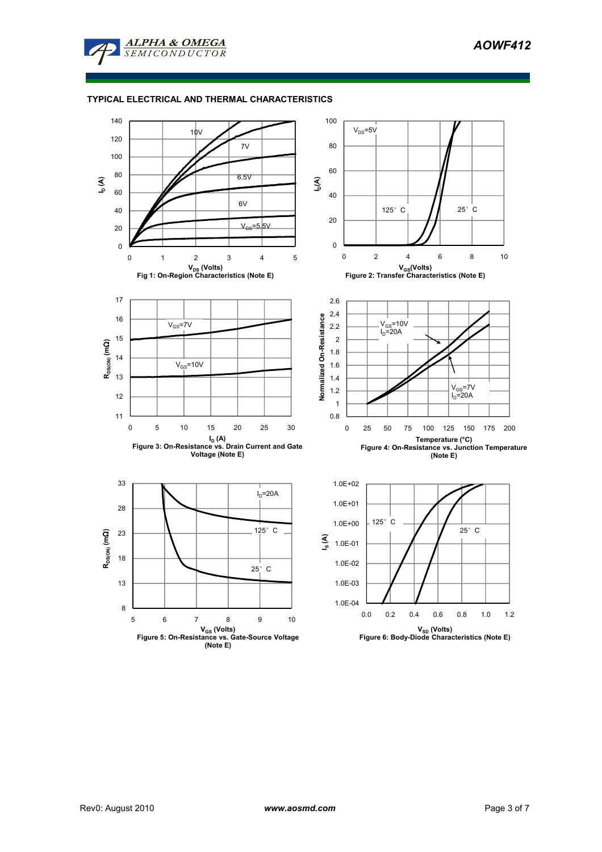

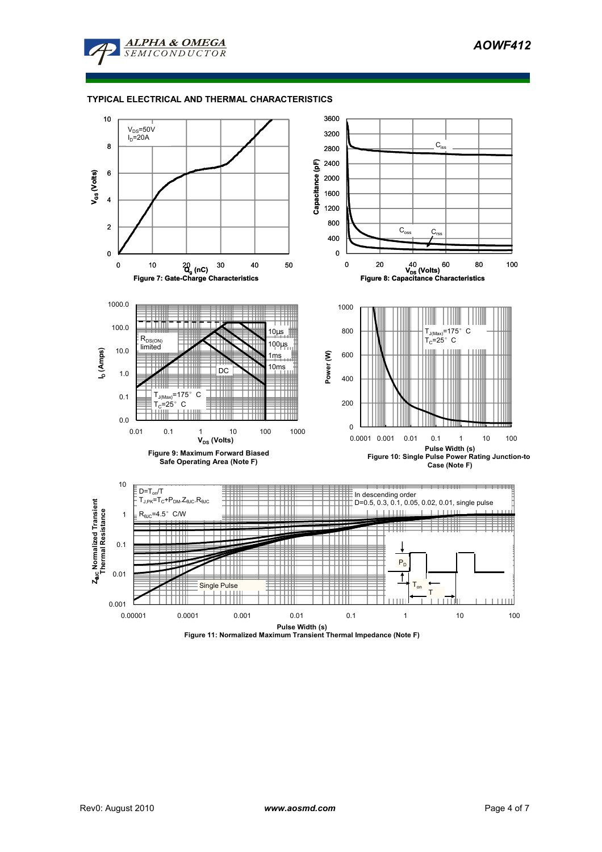AOWF412



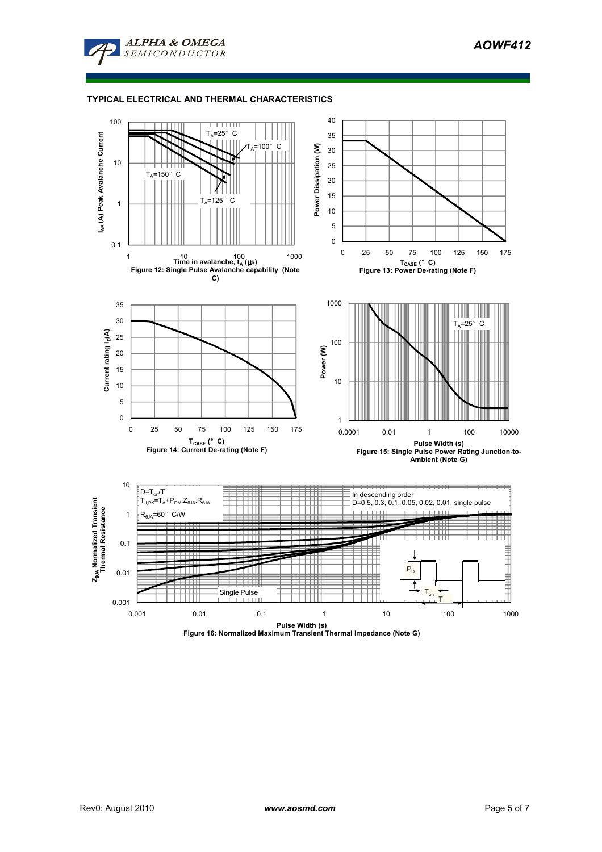



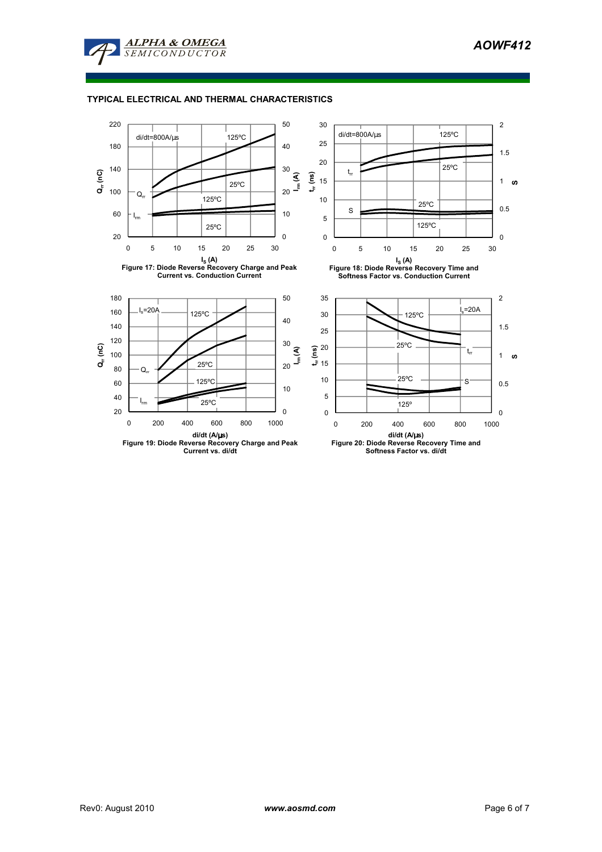